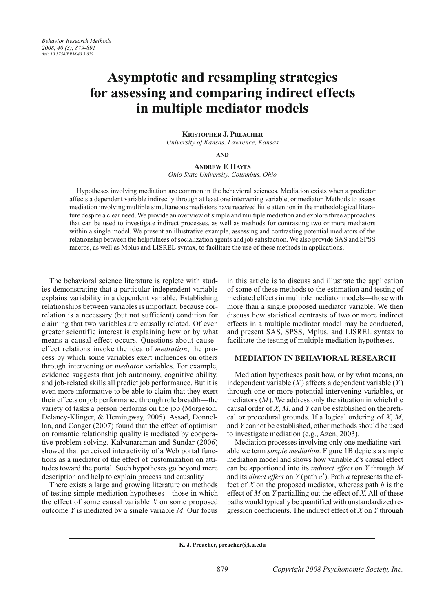# **Asymptotic and resampling strategies for assessing and comparing indirect effects in multiple mediator models**

**KRISTOPHER J. PREACHER** *University of Kansas, Lawrence, Kansas*

**AND**

# **ANDREW F. HAYES** *Ohio State University, Columbus, Ohio*

Hypotheses involving mediation are common in the behavioral sciences. Mediation exists when a predictor affects a dependent variable indirectly through at least one intervening variable, or mediator. Methods to assess mediation involving multiple simultaneous mediators have received little attention in the methodological literature despite a clear need. We provide an overview of simple and multiple mediation and explore three approaches that can be used to investigate indirect processes, as well as methods for contrasting two or more mediators within a single model. We present an illustrative example, assessing and contrasting potential mediators of the relationship between the helpfulness of socialization agents and job satisfaction. We also provide SAS and SPSS macros, as well as Mplus and LISREL syntax, to facilitate the use of these methods in applications.

The behavioral science literature is replete with studies demonstrating that a particular independent variable explains variability in a dependent variable. Establishing relationships between variables is important, because correlation is a necessary (but not sufficient) condition for claiming that two variables are causally related. Of even greater scientific interest is explaining how or by what means a causal effect occurs. Questions about cause– effect relations invoke the idea of *mediation*, the process by which some variables exert influences on others through intervening or *mediator* variables. For example, evidence suggests that job autonomy, cognitive ability, and job-related skills all predict job performance. But it is even more informative to be able to claim that they exert their effects on job performance through role breadth—the variety of tasks a person performs on the job (Morgeson, Delaney-Klinger, & Hemingway, 2005). Assad, Donnellan, and Conger (2007) found that the effect of optimism on romantic relationship quality is mediated by cooperative problem solving. Kalyanaraman and Sundar (2006) showed that perceived interactivity of a Web portal functions as a mediator of the effect of customization on attitudes toward the portal. Such hypotheses go beyond mere description and help to explain process and causality.

There exists a large and growing literature on methods of testing simple mediation hypotheses—those in which the effect of some causal variable *X* on some proposed outcome *Y* is mediated by a single variable *M*. Our focus

in this article is to discuss and illustrate the application of some of these methods to the estimation and testing of mediated effects in multiple mediator models—those with more than a single proposed mediator variable. We then discuss how statistical contrasts of two or more indirect effects in a multiple mediator model may be conducted, and present SAS, SPSS, Mplus, and LISREL syntax to facilitate the testing of multiple mediation hypotheses.

# **MEDIATION IN BEHAVIORAL RESEARCH**

Mediation hypotheses posit how, or by what means, an independent variable (*X*) affects a dependent variable (*Y* ) through one or more potential intervening variables, or mediators (*M*). We address only the situation in which the causal order of *X*, *M*, and *Y* can be established on theoretical or procedural grounds. If a logical ordering of *X*, *M*, and *Y* cannot be established, other methods should be used to investigate mediation (e.g., Azen, 2003).

Mediation processes involving only one mediating variable we term *simple mediation*. Figure 1B depicts a simple mediation model and shows how variable *X*'s causal effect can be apportioned into its *indirect effect* on *Y* through *M* and its *direct effect* on *Y* (path *c*). Path *a* represents the effect of *X* on the proposed mediator, whereas path *b* is the effect of *M* on *Y* partialling out the effect of *X*. All of these paths would typically be quantified with unstandardized regression coefficients. The indirect effect of *X* on *Y* through

**K. J. Preacher, preacher@ku.edu**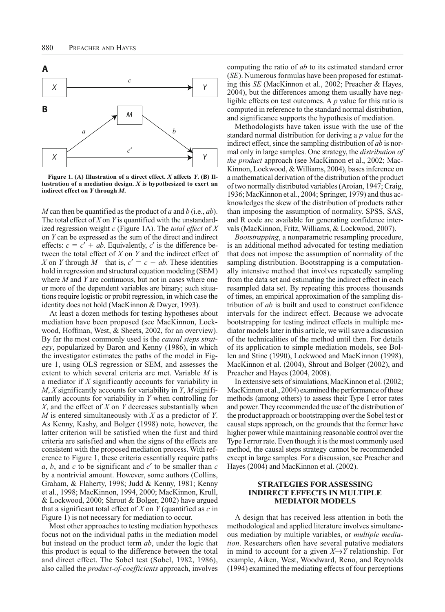

**Figure 1. (A) Illustration of a direct effect.** *X* **affects** *Y***. (B) Illustration of a mediation design.** *X* **is hypothesized to exert an indirect effect on** *Y* **through** *M***.**

*M* can then be quantified as the product of *a* and *b* (i.e., *ab*). The total effect of *X* on *Y* is quantified with the unstandardized regression weight *c* (Figure 1A). The *total effect* of *X* on *Y* can be expressed as the sum of the direct and indirect effects:  $c = c' + ab$ . Equivalently, *c'* is the difference between the total effect of *X* on *Y* and the indirect effect of *X* on *Y* through *M*—that is,  $c' = c - ab$ . These identities hold in regression and structural equation modeling (SEM) where *M* and *Y* are continuous, but not in cases where one or more of the dependent variables are binary; such situations require logistic or probit regression, in which case the identity does not hold (MacKinnon & Dwyer, 1993).

At least a dozen methods for testing hypotheses about mediation have been proposed (see MacKinnon, Lockwood, Hoffman, West, & Sheets, 2002, for an overview). By far the most commonly used is the *causal steps strategy*, popularized by Baron and Kenny (1986), in which the investigator estimates the paths of the model in Figure 1, using OLS regression or SEM, and assesses the extent to which several criteria are met. Variable *M* is a mediator if *X* significantly accounts for variability in *M*, *X* significantly accounts for variability in *Y*, *M* significantly accounts for variability in *Y* when controlling for *X*, and the effect of *X* on *Y* decreases substantially when *M* is entered simultaneously with *X* as a predictor of *Y*. As Kenny, Kashy, and Bolger (1998) note, however, the latter criterion will be satisfied when the first and third criteria are satisfied and when the signs of the effects are consistent with the proposed mediation process. With reference to Figure 1, these criteria essentially require paths  $a, b$ , and  $c$  to be significant and  $c'$  to be smaller than  $c$ by a nontrivial amount. However, some authors (Collins, Graham, & Flaherty, 1998; Judd & Kenny, 1981; Kenny et al., 1998; MacKinnon, 1994, 2000; MacKinnon, Krull, & Lockwood, 2000; Shrout & Bolger, 2002) have argued that a significant total effect of *X* on *Y* (quantified as *c* in Figure 1) is not necessary for mediation to occur.

Most other approaches to testing mediation hypotheses focus not on the individual paths in the mediation model but instead on the product term *ab*, under the logic that this product is equal to the difference between the total and direct effect. The Sobel test (Sobel, 1982, 1986), also called the *product-of-coefficients* approach, involves

computing the ratio of *ab* to its estimated standard error (*SE*). Numerous formulas have been proposed for estimating this *SE* (MacKinnon et al., 2002; Preacher & Hayes, 2004), but the differences among them usually have negligible effects on test outcomes. A *p* value for this ratio is computed in reference to the standard normal distribution, and significance supports the hypothesis of mediation.

Methodologists have taken issue with the use of the standard normal distribution for deriving a *p* value for the indirect effect, since the sampling distribution of *ab* is normal only in large samples. One strategy, the *distribution of the product* approach (see MacKinnon et al., 2002; Mac-Kinnon, Lockwood, & Williams, 2004), bases inference on a mathematical derivation of the distribution of the product of two normally distributed variables (Aroian, 1947; Craig, 1936; MacKinnon et al., 2004; Springer, 1979) and thus acknowledges the skew of the distribution of products rather than imposing the assumption of normality. SPSS, SAS, and R code are available for generating confidence intervals (MacKinnon, Fritz, Williams, & Lockwood, 2007).

*Bootstrapping*, a nonparametric resampling procedure, is an additional method advocated for testing mediation that does not impose the assumption of normality of the sampling distribution. Bootstrapping is a computationally intensive method that involves repeatedly sampling from the data set and estimating the indirect effect in each resampled data set. By repeating this process thousands of times, an empirical approximation of the sampling distribution of *ab* is built and used to construct confidence intervals for the indirect effect. Because we advocate bootstrapping for testing indirect effects in multiple mediator models later in this article, we will save a discussion of the technicalities of the method until then. For details of its application to simple mediation models, see Bollen and Stine (1990), Lockwood and MacKinnon (1998), MacKinnon et al. (2004), Shrout and Bolger (2002), and Preacher and Hayes (2004, 2008).

In extensive sets of simulations, MacKinnon et al. (2002; MacKinnon et al., 2004) examined the performance of these methods (among others) to assess their Type I error rates and power. They recommended the use of the distribution of the product approach or bootstrapping over the Sobel test or causal steps approach, on the grounds that the former have higher power while maintaining reasonable control over the Type I error rate. Even though it is the most commonly used method, the causal steps strategy cannot be recommended except in large samples. For a discussion, see Preacher and Hayes (2004) and MacKinnon et al. (2002).

# **STRATEGIES FOR ASSESSING INDIRECT EFFECTS IN MULTIPLE MEDIATOR MODELS**

A design that has received less attention in both the methodological and applied literature involves simultaneous mediation by multiple variables, or *multiple mediation*. Researchers often have several putative mediators in mind to account for a given  $X \rightarrow Y$  relationship. For example, Aiken, West, Woodward, Reno, and Reynolds (1994) examined the mediating effects of four perceptions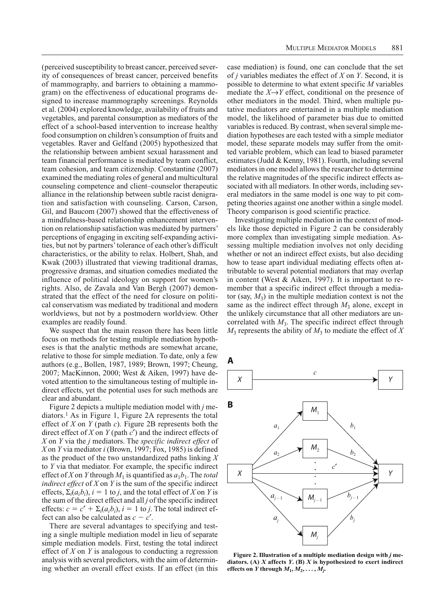(perceived susceptibility to breast cancer, perceived severity of consequences of breast cancer, perceived benefits of mammography, and barriers to obtaining a mammogram) on the effectiveness of educational programs designed to increase mammography screenings. Reynolds et al. (2004) explored knowledge, availability of fruits and vegetables, and parental consumption as mediators of the effect of a school-based intervention to increase healthy food consumption on children's consumption of fruits and vegetables. Raver and Gelfand (2005) hypothesized that the relationship between ambient sexual harassment and team financial performance is mediated by team conflict, team cohesion, and team citizenship. Constantine (2007) examined the mediating roles of general and multicultural counseling competence and client–counselor therapeutic alliance in the relationship between subtle racist denigration and satisfaction with counseling. Carson, Carson, Gil, and Baucom (2007) showed that the effectiveness of a mindfulness-based relationship enhancement intervention on relationship satisfaction was mediated by partners' perceptions of engaging in exciting self-expanding activities, but not by partners' tolerance of each other's difficult characteristics, or the ability to relax. Holbert, Shah, and Kwak (2003) illustrated that viewing traditional dramas, progressive dramas, and situation comedies mediated the influence of political ideology on support for women's rights. Also, de Zavala and Van Bergh (2007) demonstrated that the effect of the need for closure on political conservatism was mediated by traditional and modern worldviews, but not by a postmodern worldview. Other examples are readily found.

We suspect that the main reason there has been little focus on methods for testing multiple mediation hypotheses is that the analytic methods are somewhat arcane, relative to those for simple mediation. To date, only a few authors (e.g., Bollen, 1987, 1989; Brown, 1997; Cheung, 2007; MacKinnon, 2000; West & Aiken, 1997) have devoted attention to the simultaneous testing of multiple indirect effects, yet the potential uses for such methods are clear and abundant.

Figure 2 depicts a multiple mediation model with *j* mediators.1 As in Figure 1, Figure 2A represents the total effect of *X* on *Y* (path *c*). Figure 2B represents both the direct effect of *X* on *Y* (path *c*) and the indirect effects of *X* on *Y* via the *j* mediators. The *specific indirect effect* of *X* on *Y* via mediator *i* (Brown, 1997; Fox, 1985) is defined as the product of the two unstandardized paths linking *X* to *Y* via that mediator. For example, the specific indirect effect of *X* on *Y* through  $M_1$  is quantified as  $a_1b_1$ . The *total indirect effect* of *X* on *Y* is the sum of the specific indirect effects,  $\Sigma_i(a_i b_i)$ ,  $i = 1$  to *j*, and the total effect of *X* on *Y* is the sum of the direct effect and all *j* of the specific indirect effects:  $c = c' + \sum_i (a_i b_i)$ ,  $i = 1$  to *j*. The total indirect effect can also be calculated as  $c - c'$ .

There are several advantages to specifying and testing a single multiple mediation model in lieu of separate simple mediation models. First, testing the total indirect effect of *X* on *Y* is analogous to conducting a regression analysis with several predictors, with the aim of determining whether an overall effect exists. If an effect (in this

case mediation) is found, one can conclude that the set of *j* variables mediates the effect of *X* on *Y*. Second, it is possible to determine to what extent specific *M* variables mediate the  $X \rightarrow Y$  effect, conditional on the presence of other mediators in the model. Third, when multiple putative mediators are entertained in a multiple mediation model, the likelihood of parameter bias due to omitted variables is reduced. By contrast, when several simple mediation hypotheses are each tested with a simple mediator model, these separate models may suffer from the omitted variable problem, which can lead to biased parameter estimates (Judd & Kenny, 1981). Fourth, including several mediators in one model allows the researcher to determine the relative magnitudes of the specific indirect effects associated with all mediators. In other words, including several mediators in the same model is one way to pit competing theories against one another within a single model. Theory comparison is good scientific practice.

Investigating multiple mediation in the context of models like those depicted in Figure 2 can be considerably more complex than investigating simple mediation. Assessing multiple mediation involves not only deciding whether or not an indirect effect exists, but also deciding how to tease apart individual mediating effects often attributable to several potential mediators that may overlap in content (West & Aiken, 1997). It is important to remember that a specific indirect effect through a mediator (say,  $M_3$ ) in the multiple mediation context is not the same as the indirect effect through  $M_3$  alone, except in the unlikely circumstance that all other mediators are uncorrelated with *M*3. The specific indirect effect through  $M_3$  represents the ability of  $M_3$  to mediate the effect of X

**A**



**Figure 2. Illustration of a multiple mediation design with** *j* **me**diators. (A)  $X$  affects  $Y$ **.** (B)  $X$  is hypothesized to exert indirect **effects on** *Y* **through**  $M_1, M_2, \ldots, M_j$ **.**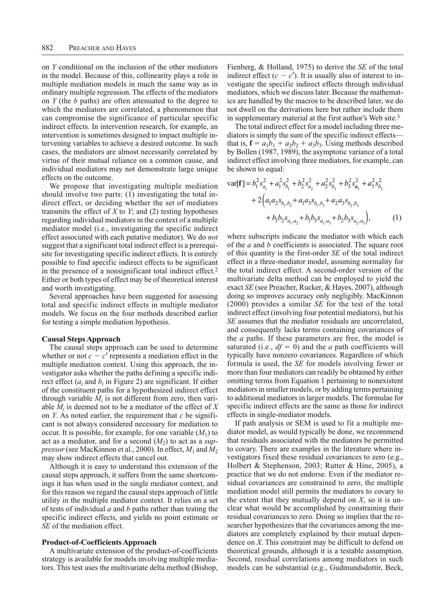on *Y* conditional on the inclusion of the other mediators in the model. Because of this, collinearity plays a role in multiple mediation models in much the same way as in ordinary multiple regression. The effects of the mediators on *Y* (the *b* paths) are often attenuated to the degree to which the mediators are correlated, a phenomenon that can compromise the significance of particular specific indirect effects. In intervention research, for example, an intervention is sometimes designed to impact multiple intervening variables to achieve a desired outcome. In such cases, the mediators are almost necessarily correlated by virtue of their mutual reliance on a common cause, and individual mediators may not demonstrate large unique effects on the outcome.

We propose that investigating multiple mediation should involve two parts: (1) investigating the total indirect effect, or deciding whether the set of mediators transmits the effect of  $X$  to  $Y$ ; and (2) testing hypotheses regarding individual mediators in the context of a multiple mediator model (i.e., investigating the specific indirect effect associated with each putative mediator). We do *not* suggest that a significant total indirect effect is a prerequisite for investigating specific indirect effects. It is entirely possible to find specific indirect effects to be significant in the presence of a nonsignificant total indirect effect.2 Either or both types of effect may be of theoretical interest and worth investigating.

Several approaches have been suggested for assessing total and specific indirect effects in multiple mediator models. We focus on the four methods described earlier for testing a simple mediation hypothesis.

## **Causal Steps Approach**

The causal steps approach can be used to determine whether or not  $c - c'$  represents a mediation effect in the multiple mediation context. Using this approach, the investigator asks whether the paths defining a specific indirect effect  $(a_i$  and  $b_i$  in Figure 2) are significant. If either of the constituent paths for a hypothesized indirect effect through variable  $M_i$  is not different from zero, then variable  $M_i$  is deemed not to be a mediator of the effect of  $X$ on *Y*. As noted earlier, the requirement that *c* be significant is not always considered necessary for mediation to occur. It is possible, for example, for one variable  $(M_1)$  to act as a mediator, and for a second  $(M_2)$  to act as a *suppressor* (see MacKinnon et al., 2000). In effect, *M*1 and *M*<sup>2</sup> may show indirect effects that cancel out.

Although it is easy to understand this extension of the causal steps approach, it suffers from the same shortcomings it has when used in the single mediator context, and for this reason we regard the causal steps approach of little utility in the multiple mediator context. It relies on a set of tests of individual *a* and *b* paths rather than testing the specific indirect effects, and yields no point estimate or *SE* of the mediation effect.

## **Product-of-Coefficients Approach**

A multivariate extension of the product-of-coefficients strategy is available for models involving multiple mediators. This test uses the multivariate delta method (Bishop, Fienberg, & Holland, 1975) to derive the *SE* of the total indirect effect  $(c - c')$ . It is usually also of interest to investigate the specific indirect effects through individual mediators, which we discuss later. Because the mathematics are handled by the macros to be described later, we do not dwell on the derivations here but rather include them in supplementary material at the first author's Web site.3

The total indirect effect for a model including three mediators is simply the sum of the specific indirect effects that is,  $\mathbf{f} = a_1b_1 + a_2b_2 + a_3b_3$ . Using methods described by Bollen (1987, 1989), the asymptotic variance of a total indirect effect involving three mediators, for example, can be shown to equal:

$$
\begin{aligned}\n\text{var}[\mathbf{f}] &= b_1^2 s_{a_1}^2 + a_1^2 s_{b_1}^2 + b_2^2 s_{a_2}^2 + a_2^2 s_{b_2}^2 + b_3^2 s_{a_3}^2 + a_3^2 s_{b_3}^2 \\
&\quad + 2 \Big( a_1 a_2 s_{b_1, b_2} + a_1 a_3 s_{b_1, b_3} + a_2 a_3 s_{b_2, b_3} \\
&\quad + b_1 b_2 s_{a_1, a_2} + b_1 b_3 s_{a_1, a_3} + b_2 b_3 s_{a_2, a_3} \Big),\n\end{aligned}\n\tag{1}
$$

where subscripts indicate the mediator with which each of the *a* and *b* coefficients is associated. The square root of this quantity is the first-order *SE* of the total indirect effect in a three-mediator model, assuming normality for the total indirect effect. A second-order version of the multivariate delta method can be employed to yield the exact *SE* (see Preacher, Rucker, & Hayes, 2007), although doing so improves accuracy only negligibly. MacKinnon (2000) provides a similar *SE* for the test of the total indirect effect (involving four potential mediators), but his *SE* assumes that the mediator residuals are uncorrelated, and consequently lacks terms containing covariances of the *a* paths. If these parameters are free, the model is saturated (i.e.,  $df = 0$ ) and the *a* path coefficients will typically have nonzero covariances. Regardless of which formula is used, the *SE* for models involving fewer or more than four mediators can readily be obtained by either omitting terms from Equation 1 pertaining to nonexistent mediators in smaller models, or by adding terms pertaining to additional mediators in larger models. The formulae for specific indirect effects are the same as those for indirect effects in single-mediator models.

If path analysis or SEM is used to fit a multiple mediator model, as would typically be done, we recommend that residuals associated with the mediators be permitted to covary. There are examples in the literature where investigators fixed these residual covariances to zero (e.g., Holbert & Stephenson, 2003; Rutter & Hine, 2005), a practice that we do not endorse. Even if the mediator residual covariances are constrained to zero, the multiple mediation model still permits the mediators to covary to the extent that they mutually depend on *X*, so it is unclear what would be accomplished by constraining their residual covariances to zero. Doing so implies that the researcher hypothesizes that the covariances among the mediators are completely explained by their mutual dependence on *X*. This constraint may be difficult to defend on theoretical grounds, although it is a testable assumption. Second, residual correlations among mediators in such models can be substantial (e.g., Gudmundsdottir, Beck,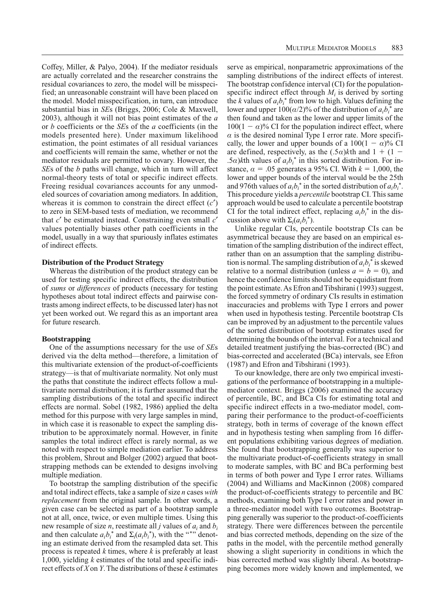Coffey, Miller, & Palyo, 2004). If the mediator residuals are actually correlated and the researcher constrains the residual covariances to zero, the model will be misspecified; an unreasonable constraint will have been placed on the model. Model misspecification, in turn, can introduce substantial bias in *SE*s (Briggs, 2006; Cole & Maxwell, 2003), although it will not bias point estimates of the *a* or *b* coefficients or the *SE*s of the *a* coefficients (in the models presented here). Under maximum likelihood estimation, the point estimates of all residual variances and coefficients will remain the same, whether or not the mediator residuals are permitted to covary. However, the *SE*s of the *b* paths will change, which in turn will affect normal-theory tests of total or specific indirect effects. Freeing residual covariances accounts for any unmodeled sources of covariation among mediators. In addition, whereas it is common to constrain the direct effect (*c*) to zero in SEM-based tests of mediation, we recommend that *c* be estimated instead. Constraining even small *c* values potentially biases other path coefficients in the model, usually in a way that spuriously inflates estimates of indirect effects.

## **Distribution of the Product Strategy**

Whereas the distribution of the product strategy can be used for testing specific indirect effects, the distribution of *sums* or *differences* of products (necessary for testing hypotheses about total indirect effects and pairwise contrasts among indirect effects, to be discussed later) has not yet been worked out. We regard this as an important area for future research.

## **Bootstrapping**

One of the assumptions necessary for the use of *SE*s derived via the delta method—therefore, a limitation of this multivariate extension of the product-of-coefficients strategy—is that of multivariate normality. Not only must the paths that constitute the indirect effects follow a multivariate normal distribution; it is further assumed that the sampling distributions of the total and specific indirect effects are normal. Sobel (1982, 1986) applied the delta method for this purpose with very large samples in mind, in which case it is reasonable to expect the sampling distribution to be approximately normal. However, in finite samples the total indirect effect is rarely normal, as we noted with respect to simple mediation earlier. To address this problem, Shrout and Bolger (2002) argued that bootstrapping methods can be extended to designs involving multiple mediation.

To bootstrap the sampling distribution of the specific and total indirect effects, take a sample of size *n* cases *with replacement* from the original sample. In other words, a given case can be selected as part of a bootstrap sample not at all, once, twice, or even multiple times. Using this new resample of size *n*, reestimate all *j* values of *ai* and *bi* and then calculate  $a_i b_i^*$  and  $\Sigma_i (a_i b_i^*)$ , with the "\*" denoting an estimate derived from the resampled data set. This process is repeated *k* times, where *k* is preferably at least 1,000, yielding *k* estimates of the total and specific indirect effects of *X* on *Y*. The distributions of these *k* estimates serve as empirical, nonparametric approximations of the sampling distributions of the indirect effects of interest. The bootstrap confidence interval (CI) for the populationspecific indirect effect through  $M_i$  is derived by sorting the *k* values of  $a_i b_i^*$  from low to high. Values defining the lower and upper  $100(a/2)$ % of the distribution of  $a_ib_i^*$  are then found and taken as the lower and upper limits of the  $100(1 - \alpha)$ % CI for the population indirect effect, where  $\alpha$  is the desired nominal Type I error rate. More specifically, the lower and upper bounds of a  $100(1 - \alpha)\%$  CI are defined, respectively, as the  $(.5\alpha)$ *k*th and  $1 + (1 -$ .5*a*)*k*th values of  $a_i b_i^*$  in this sorted distribution. For instance,  $\alpha = .05$  generates a 95% CI. With  $k = 1,000$ , the lower and upper bounds of the interval would be the 25th and 976th values of  $a_i b_i^*$  in the sorted distribution of  $a_i b_i^*$ . This procedure yields a *percentile* bootstrap CI. This same approach would be used to calculate a percentile bootstrap CI for the total indirect effect, replacing  $a_i b_i^*$  in the discussion above with  $\Sigma_i(a_i b_i^*)$ .

Unlike regular CIs, percentile bootstrap CIs can be asymmetrical because they are based on an empirical estimation of the sampling distribution of the indirect effect, rather than on an assumption that the sampling distribution is normal. The sampling distribution of  $a_i b_i^*$  is skewed relative to a normal distribution (unless  $a = b = 0$ ), and hence the confidence limits should not be equidistant from the point estimate. As Efron and Tibshirani (1993) suggest, the forced symmetry of ordinary CIs results in estimation inaccuracies and problems with Type I errors and power when used in hypothesis testing. Percentile bootstrap CIs can be improved by an adjustment to the percentile values of the sorted distribution of bootstrap estimates used for determining the bounds of the interval. For a technical and detailed treatment justifying the bias-corrected (BC) and bias-corrected and accelerated (BCa) intervals, see Efron (1987) and Efron and Tibshirani (1993).

To our knowledge, there are only two empirical investigations of the performance of bootstrapping in a multiplemediator context. Briggs (2006) examined the accuracy of percentile, BC, and BCa CIs for estimating total and specific indirect effects in a two-mediator model, comparing their performance to the product-of-coefficients strategy, both in terms of coverage of the known effect and in hypothesis testing when sampling from 16 different populations exhibiting various degrees of mediation. She found that bootstrapping generally was superior to the multivariate product-of-coefficients strategy in small to moderate samples, with BC and BCa performing best in terms of both power and Type I error rates. Williams (2004) and Williams and MacKinnon (2008) compared the product-of-coefficients strategy to percentile and BC methods, examining both Type I error rates and power in a three-mediator model with two outcomes. Bootstrapping generally was superior to the product-of-coefficients strategy. There were differences between the percentile and bias corrected methods, depending on the size of the paths in the model, with the percentile method generally showing a slight superiority in conditions in which the bias corrected method was slightly liberal. As bootstrapping becomes more widely known and implemented, we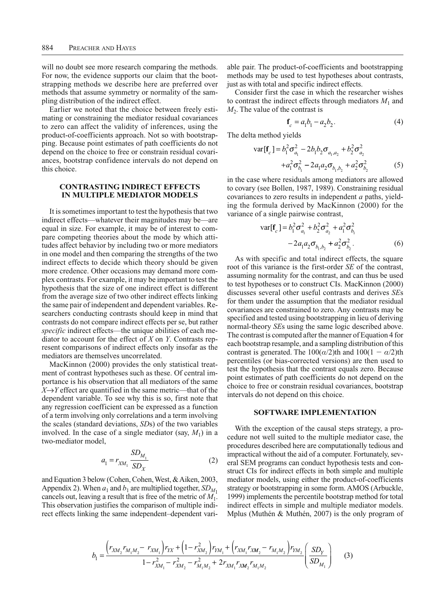will no doubt see more research comparing the methods. For now, the evidence supports our claim that the bootstrapping methods we describe here are preferred over methods that assume symmetry or normality of the sampling distribution of the indirect effect.

Earlier we noted that the choice between freely estimating or constraining the mediator residual covariances to zero can affect the validity of inferences, using the product-of-coefficients approach. Not so with bootstrapping. Because point estimates of path coefficients do not depend on the choice to free or constrain residual covariances, bootstrap confidence intervals do not depend on this choice.

## **CONTRASTING INDIRECT EFFECTS IN MULTIPLE MEDIATOR MODELS**

It is sometimes important to test the hypothesis that two indirect effects—whatever their magnitudes may be—are equal in size. For example, it may be of interest to compare competing theories about the mode by which attitudes affect behavior by including two or more mediators in one model and then comparing the strengths of the two indirect effects to decide which theory should be given more credence. Other occasions may demand more complex contrasts. For example, it may be important to test the hypothesis that the size of one indirect effect is different from the average size of two other indirect effects linking the same pair of independent and dependent variables. Researchers conducting contrasts should keep in mind that contrasts do not compare indirect effects per se, but rather *specific* indirect effects—the unique abilities of each mediator to account for the effect of *X* on *Y*. Contrasts represent comparisons of indirect effects only insofar as the mediators are themselves uncorrelated.

MacKinnon (2000) provides the only statistical treatment of contrast hypotheses such as these. Of central importance is his observation that all mediators of the same  $X \rightarrow Y$  effect are quantified in the same metric—that of the dependent variable. To see why this is so, first note that any regression coefficient can be expressed as a function of a term involving only correlations and a term involving the scales (standard deviations, *SD*s) of the two variables involved. In the case of a single mediator (say,  $M_1$ ) in a two-mediator model,

$$
a_1 = r_{X M_1} \frac{SD_{M_1}}{SD_X}
$$
 (2)

and Equation 3 below (Cohen, Cohen, West, & Aiken, 2003, Appendix 2). When  $a_1$  and  $b_1$  are multiplied together,  $SD_{M_1}$ cancels out, leaving a result that is free of the metric of *M*1. This observation justifies the comparison of multiple indirect effects linking the same independent–dependent vari-

able pair. The product-of-coefficients and bootstrapping methods may be used to test hypotheses about contrasts, just as with total and specific indirect effects.

Consider first the case in which the researcher wishes to contrast the indirect effects through mediators  $M_1$  and *M*<sub>2</sub>. The value of the contrast is

$$
\mathbf{f}_c = a_1 b_1 - a_2 b_2. \tag{4}
$$

The delta method yields

$$
\text{var}[\mathbf{f}_c] = b_1^2 \sigma_{a_1}^2 - 2b_1 b_2 \sigma_{a_1, a_2} + b_2^2 \sigma_{a_2}^2
$$
  
+ $a_1^2 \sigma_{b_1}^2 - 2a_1 a_2 \sigma_{b_1, b_2} + a_2^2 \sigma_{b_2}^2$  (5)

in the case where residuals among mediators are allowed to covary (see Bollen, 1987, 1989). Constraining residual covariances to zero results in independent *a* paths, yielding the formula derived by MacKinnon (2000) for the variance of a single pairwise contrast,

$$
\text{var}[\mathbf{f}_c] = b_1^2 \sigma_{a_1}^2 + b_2^2 \sigma_{a_2}^2 + a_1^2 \sigma_{b_1}^2
$$
  
- 2a<sub>1</sub>a<sub>2</sub>  $\sigma_{b_1, b_2} + a_2^2 \sigma_{b_2}^2$ . (6)

As with specific and total indirect effects, the square root of this variance is the first-order *SE* of the contrast, assuming normality for the contrast, and can thus be used to test hypotheses or to construct CIs. MacKinnon (2000) discusses several other useful contrasts and derives *SE*s for them under the assumption that the mediator residual covariances are constrained to zero. Any contrasts may be specified and tested using bootstrapping in lieu of deriving normal- theory *SE*s using the same logic described above. The contrast is computed after the manner of Equation 4 for each bootstrap resample, and a sampling distribution of this contrast is generated. The  $100(a/2)$ th and  $100(1 - a/2)$ th percentiles (or bias-corrected versions) are then used to test the hypothesis that the contrast equals zero. Because point estimates of path coefficients do not depend on the choice to free or constrain residual covariances, bootstrap intervals do not depend on this choice.

# **SOFTWARE IMPLEMENTATION**

With the exception of the causal steps strategy, a procedure not well suited to the multiple mediator case, the procedures described here are computationally tedious and impractical without the aid of a computer. Fortunately, several SEM programs can conduct hypothesis tests and construct CIs for indirect effects in both simple and multiple mediator models, using either the product-of-coefficients strategy or bootstrapping in some form. AMOS (Arbuckle, 1999) implements the percentile bootstrap method for total indirect effects in simple and multiple mediator models. Mplus (Muthén & Muthén, 2007) is the only program of

$$
b_1 = \frac{\left(r_{XM_2}r_{M_1M_2} - r_{XM_1}\right)r_{IX} + \left(1 - r_{XM_2}^2\right)r_{YM_1} + \left(r_{XM_1}r_{XM_2} - r_{M_1M_2}\right)r_{YM_2}}{1 - r_{XM_1}^2 - r_{AM_2}^2 - r_{M_1M_2}^2 + 2r_{XM_1}r_{XM_2}r_{M_1M_2}}\left(\frac{SD_Y}{SD_{M_1}}\right)
$$
(3)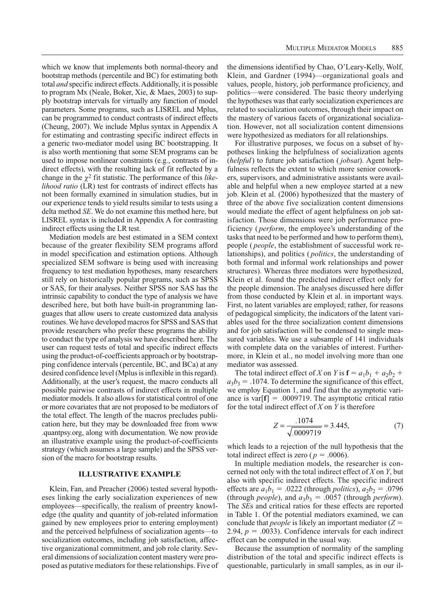which we know that implements both normal-theory and bootstrap methods (percentile and BC) for estimating both total *and* specific indirect effects. Additionally, it is possible to program Mx (Neale, Boker, Xie, & Maes, 2003) to supply bootstrap intervals for virtually any function of model parameters. Some programs, such as LISREL and Mplus, can be programmed to conduct contrasts of indirect effects (Cheung, 2007). We include Mplus syntax in Appendix A for estimating and contrasting specific indirect effects in a generic two-mediator model using BC bootstrapping. It is also worth mentioning that some SEM programs can be used to impose nonlinear constraints (e.g., contrasts of indirect effects), with the resulting lack of fit reflected by a change in the  $\chi^2$  fit statistic. The performance of this *likelihood ratio* (LR) test for contrasts of indirect effects has not been formally examined in simulation studies, but in our experience tends to yield results similar to tests using a delta method *SE*. We do not examine this method here, but LISREL syntax is included in Appendix A for contrasting indirect effects using the LR test.

Mediation models are best estimated in a SEM context because of the greater flexibility SEM programs afford in model specification and estimation options. Although specialized SEM software is being used with increasing frequency to test mediation hypotheses, many researchers still rely on historically popular programs, such as SPSS or SAS, for their analyses. Neither SPSS nor SAS has the intrinsic capability to conduct the type of analysis we have described here, but both have built-in programming languages that allow users to create customized data analysis routines. We have developed macros for SPSS and SAS that provide researchers who prefer these programs the ability to conduct the type of analysis we have described here. The user can request tests of total and specific indirect effects using the product-of-coefficients approach or by bootstrapping confidence intervals (percentile, BC, and BCa) at any desired confidence level (Mplus is inflexible in this regard). Additionally, at the user's request, the macro conducts all possible pairwise contrasts of indirect effects in multiple mediator models. It also allows for statistical control of one or more covariates that are not proposed to be mediators of the total effect. The length of the macros precludes publication here, but they may be downloaded free from www .quantpsy.org, along with documentation. We now provide an illustrative example using the product-of-coefficients strategy (which assumes a large sample) and the SPSS version of the macro for bootstrap results.

## **ILLUSTRATIVE EXAMPLE**

Klein, Fan, and Preacher (2006) tested several hypotheses linking the early socialization experiences of new employees—specifically, the realism of preentry knowledge (the quality and quantity of job-related information gained by new employees prior to entering employment) and the perceived helpfulness of socialization agents—to socialization outcomes, including job satisfaction, affective organizational commitment, and job role clarity. Several dimensions of socialization content mastery were proposed as putative mediators for these relationships. Five of the dimensions identified by Chao, O'Leary-Kelly, Wolf, Klein, and Gardner (1994)—organizational goals and values, people, history, job performance proficiency, and politics—were considered. The basic theory underlying the hypotheses was that early socialization experiences are related to socialization outcomes, through their impact on the mastery of various facets of organizational socialization. However, not all socialization content dimensions were hypothesized as mediators for all relationships.

For illustrative purposes, we focus on a subset of hypotheses linking the helpfulness of socialization agents (*helpful*) to future job satisfaction ( *jobsat*). Agent helpfulness reflects the extent to which more senior coworkers, supervisors, and administrative assistants were available and helpful when a new employee started at a new job. Klein et al. (2006) hypothesized that the mastery of three of the above five socialization content dimensions would mediate the effect of agent helpfulness on job satisfaction. Those dimensions were job performance proficiency ( *perform*, the employee's understanding of the tasks that need to be performed and how to perform them), people ( *people*, the establishment of successful work relationships), and politics ( *politics*, the understanding of both formal and informal work relationships and power structures). Whereas three mediators were hypothesized, Klein et al. found the predicted indirect effect only for the people dimension. The analyses discussed here differ from those conducted by Klein et al. in important ways. First, no latent variables are employed; rather, for reasons of pedagogical simplicity, the indicators of the latent variables used for the three socialization content dimensions and for job satisfaction will be condensed to single measured variables. We use a subsample of 141 individuals with complete data on the variables of interest. Furthermore, in Klein et al., no model involving more than one mediator was assessed.

The total indirect effect of *X* on *Y* is  $f = a_1b_1 + a_2b_2 +$  $a_3b_3 = .1074$ . To determine the significance of this effect, we employ Equation 1, and find that the asymptotic variance is var $[f] = .0009719$ . The asymptotic critical ratio for the total indirect effect of *X* on *Y* is therefore

$$
Z = \frac{.1074}{\sqrt{.0009719}} = 3.445, \tag{7}
$$

which leads to a rejection of the null hypothesis that the total indirect effect is zero ( $p = .0006$ ).

In multiple mediation models, the researcher is concerned not only with the total indirect effect of *X* on *Y*, but also with specific indirect effects. The specific indirect effects are  $a_1b_1 = .0222$  (through *politics*),  $a_2b_2 = .0796$ (through *people*), and  $a_3b_3 = .0057$  (through *perform*). The *SE*s and critical ratios for these effects are reported in Table 1. Of the potential mediators examined, we can conclude that *people* is likely an important mediator (*Z* 2.94,  $p = .0033$ ). Confidence intervals for each indirect effect can be computed in the usual way.

Because the assumption of normality of the sampling distribution of the total and specific indirect effects is questionable, particularly in small samples, as in our il-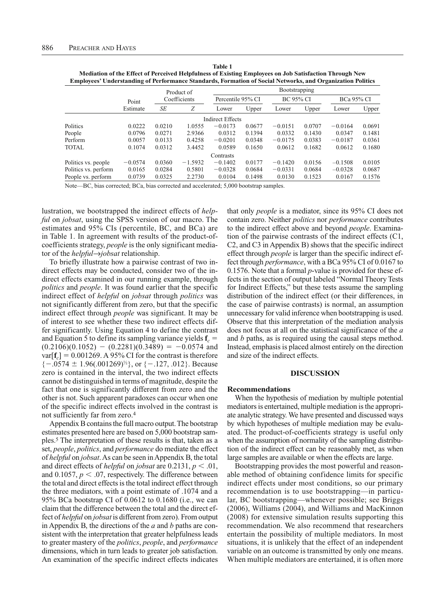| еніріоусся денесі манднізді і строі піансе здандагам, гогінаціон от зосіаттуськогом, анадзізаціоння описм |                   |                            |           |                         |        |                  |        |                   |        |
|-----------------------------------------------------------------------------------------------------------|-------------------|----------------------------|-----------|-------------------------|--------|------------------|--------|-------------------|--------|
|                                                                                                           | Point<br>Estimate | Product of<br>Coefficients |           | <b>Bootstrapping</b>    |        |                  |        |                   |        |
|                                                                                                           |                   |                            |           | Percentile 95% CI       |        | <b>BC 95% CI</b> |        | <b>BCa 95% CI</b> |        |
|                                                                                                           |                   | SE                         | Ζ         | Lower                   | Upper  | Lower            | Upper  | Lower             | Upper  |
|                                                                                                           |                   |                            |           | <b>Indirect Effects</b> |        |                  |        |                   |        |
| Politics                                                                                                  | 0.0222            | 0.0210                     | 1.0555    | $-0.0173$               | 0.0677 | $-0.0151$        | 0.0707 | $-0.0164$         | 0.0691 |
| People                                                                                                    | 0.0796            | 0.0271                     | 2.9366    | 0.0312                  | 0.1394 | 0.0332           | 0.1430 | 0.0347            | 0.1481 |
| Perform                                                                                                   | 0.0057            | 0.0133                     | 0.4258    | $-0.0201$               | 0.0348 | $-0.0175$        | 0.0383 | $-0.0187$         | 0.0361 |
| <b>TOTAL</b>                                                                                              | 0.1074            | 0.0312                     | 3.4452    | 0.0589                  | 0.1650 | 0.0612           | 0.1682 | 0.0612            | 0.1680 |
|                                                                                                           |                   |                            |           | Contrasts               |        |                  |        |                   |        |
| Politics vs. people                                                                                       | $-0.0574$         | 0.0360                     | $-1.5932$ | $-0.1402$               | 0.0177 | $-0.1420$        | 0.0156 | $-0.1508$         | 0.0105 |
| Politics vs. perform                                                                                      | 0.0165            | 0.0284                     | 0.5801    | $-0.0328$               | 0.0684 | $-0.0331$        | 0.0684 | $-0.0328$         | 0.0687 |
| People vs. perform                                                                                        | 0.0739            | 0.0325                     | 2.2730    | 0.0104                  | 0.1498 | 0.0130           | 0.1523 | 0.0167            | 0.1576 |

**Table 1 Mediation of the Effect of Perceived Helpfulness of Existing Employees on Job Satisfaction Through New Employees' Understanding of Performance Standards, Formation of Social Networks, and Organization Politics**

Note—BC, bias corrected; BCa, bias corrected and accelerated; 5,000 bootstrap samples.

lustration, we bootstrapped the indirect effects of *helpful* on *jobsat*, using the SPSS version of our macro. The estimates and 95% CIs (percentile, BC, and BCa) are in Table 1. In agreement with results of the product-of coefficients strategy, *people* is the only significant mediator of the *helpful*%*jobsat* relationship.

To briefly illustrate how a pairwise contrast of two indirect effects may be conducted, consider two of the indirect effects examined in our running example, through *politics* and *people*. It was found earlier that the specific indirect effect of *helpful* on *jobsat* through *politics* was not significantly different from zero, but that the specific indirect effect through *people* was significant. It may be of interest to see whether these two indirect effects differ significantly. Using Equation 4 to define the contrast and Equation 5 to define its sampling variance yields  $f_c =$  $(0.2106)(0.1052) - (0.2281)(0.3489) = -0.0574$  and  $var[\mathbf{f}_c] = 0.001269$ . A 95% CI for the contrast is therefore  $\{-0.0574 \pm 1.96(0.001269)^{1/2}\},\text{ or } \{-1.27, 0.012\}.$  Because zero is contained in the interval, the two indirect effects cannot be distinguished in terms of magnitude, despite the fact that one is significantly different from zero and the other is not. Such apparent paradoxes can occur when one of the specific indirect effects involved in the contrast is not sufficiently far from zero.4

Appendix B contains the full macro output. The bootstrap estimates presented here are based on 5,000 bootstrap samples.5 The interpretation of these results is that, taken as a set, *people*, *politics*, and *performance* do mediate the effect of *helpful* on *jobsat*. As can be seen in Appendix B, the total and direct effects of *helpful* on *jobsat* are  $0.2131$ ,  $p < .01$ , and  $0.1057$ ,  $p < .07$ , respectively. The difference between the total and direct effects is the total indirect effect through the three mediators, with a point estimate of .1074 and a 95% BCa bootstrap CI of 0.0612 to 0.1680 (i.e., we can claim that the difference between the total and the direct effect of *helpful* on *jobsat* is different from zero). From output in Appendix B, the directions of the *a* and *b* paths are consistent with the interpretation that greater helpfulness leads to greater mastery of the *politics*, *people*, and *performance* dimensions, which in turn leads to greater job satisfaction. An examination of the specific indirect effects indicates

that only *people* is a mediator, since its 95% CI does not contain zero. Neither *politics* nor *performance* contributes to the indirect effect above and beyond *people*. Examination of the pairwise contrasts of the indirect effects (C1, C2, and C3 in Appendix B) shows that the specific indirect effect through *people* is larger than the specific indirect effect through *performance*, with a BCa 95% CI of 0.0167 to 0.1576. Note that a formal *p*-value is provided for these effects in the section of output labeled "Normal Theory Tests for Indirect Effects," but these tests assume the sampling distribution of the indirect effect (or their differences, in the case of pairwise contrasts) is normal, an assumption unnecessary for valid inference when bootstrapping is used. Observe that this interpretation of the mediation analysis does not focus at all on the statistical significance of the *a* and *b* paths, as is required using the causal steps method. Instead, emphasis is placed almost entirely on the direction and size of the indirect effects.

## **DISCUSSION**

#### **Recommendations**

When the hypothesis of mediation by multiple potential mediators is entertained, multiple mediation is the appropriate analytic strategy. We have presented and discussed ways by which hypotheses of multiple mediation may be evaluated. The product-of-coefficients strategy is useful only when the assumption of normality of the sampling distribution of the indirect effect can be reasonably met, as when large samples are available or when the effects are large.

Bootstrapping provides the most powerful and reasonable method of obtaining confidence limits for specific indirect effects under most conditions, so our primary recommendation is to use bootstrapping—in particular, BC bootstrapping—whenever possible; see Briggs (2006), Williams (2004), and Williams and MacKinnon (2008) for extensive simulation results supporting this recommendation. We also recommend that researchers entertain the possibility of multiple mediators. In most situations, it is unlikely that the effect of an independent variable on an outcome is transmitted by only one means. When multiple mediators are entertained, it is often more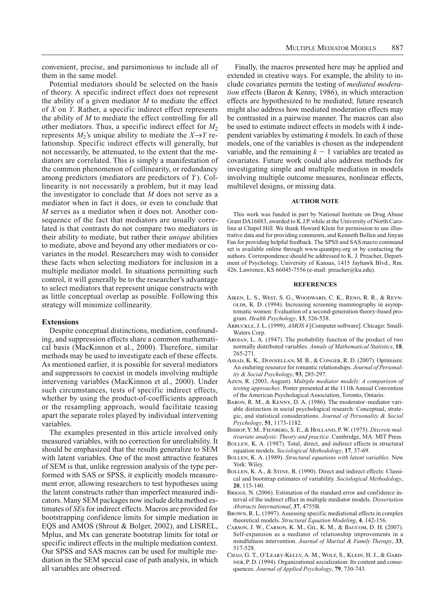convenient, precise, and parsimonious to include all of them in the same model.

Potential mediators should be selected on the basis of theory. A specific indirect effect does not represent the ability of a given mediator *M* to mediate the effect of *X* on *Y*. Rather, a specific indirect effect represents the ability of *M* to mediate the effect controlling for all other mediators. Thus, a specific indirect effect for  $M_2$ represents  $M_2$ 's unique ability to mediate the  $X \rightarrow Y$  relationship. Specific indirect effects will generally, but not necessarily, be attenuated, to the extent that the mediators are correlated. This is simply a manifestation of the common phenomenon of collinearity, or redundancy among predictors (mediators are predictors of *Y* ). Collinearity is not necessarily a problem, but it may lead the investigator to conclude that *M* does not serve as a mediator when in fact it does, or even to conclude that *M* serves as a mediator when it does not. Another consequence of the fact that mediators are usually correlated is that contrasts do not compare two mediators in their ability to mediate, but rather their *unique* abilities to mediate, above and beyond any other mediators or covariates in the model. Researchers may wish to consider these facts when selecting mediators for inclusion in a multiple mediator model. In situations permitting such control, it will generally be to the researcher's advantage to select mediators that represent unique constructs with as little conceptual overlap as possible. Following this strategy will minimize collinearity.

#### **Extensions**

Despite conceptual distinctions, mediation, confounding, and suppression effects share a common mathematical basis (MacKinnon et al., 2000). Therefore, similar methods may be used to investigate each of these effects. As mentioned earlier, it is possible for several mediators and suppressors to coexist in models involving multiple intervening variables (MacKinnon et al., 2000). Under such circumstances, tests of specific indirect effects, whether by using the product-of-coefficients approach or the resampling approach, would facilitate teasing apart the separate roles played by individual intervening variables.

The examples presented in this article involved only measured variables, with no correction for unreliability. It should be emphasized that the results generalize to SEM with latent variables. One of the most attractive features of SEM is that, unlike regression analysis of the type performed with SAS or SPSS, it explicitly models measurement error, allowing researchers to test hypotheses using the latent constructs rather than imperfect measured indicators. Many SEM packages now include delta method estimates of *SE*s for indirect effects. Macros are provided for bootstrapping confidence limits for simple mediation in EQS and AMOS (Shrout & Bolger, 2002), and LISREL, Mplus, and Mx can generate bootstrap limits for total or specific indirect effects in the multiple mediation context. Our SPSS and SAS macros can be used for multiple mediation in the SEM special case of path analysis, in which all variables are observed.

Finally, the macros presented here may be applied and extended in creative ways. For example, the ability to include covariates permits the testing of *mediated moderation* effects (Baron & Kenny, 1986), in which interaction effects are hypothesized to be mediated; future research might also address how mediated moderation effects may be contrasted in a pairwise manner. The macros can also be used to estimate indirect effects in models with *k* independent variables by estimating *k* models. In each of these models, one of the variables is chosen as the independent variable, and the remaining  $k - 1$  variables are treated as covariates. Future work could also address methods for investigating simple and multiple mediation in models involving multiple outcome measures, nonlinear effects, multilevel designs, or missing data.

#### **AUTHOR NOTE**

This work was funded in part by National Institute on Drug Abuse Grant DA16883, awarded to K.J.P. while at the University of North Carolina at Chapel Hill. We thank Howard Klein for permission to use illustrative data and for providing comments, and Kenneth Bollen and Jinyan Fan for providing helpful feedback. The SPSS and SAS macro command set is available online through www.quantpsy.org or by contacting the authors. Correspondence should be addressed to K. J. Preacher, Department of Psychology, University of Kansas, 1415 Jayhawk Blvd., Rm. 426, Lawrence, KS 66045-7556 (e-mail: preacher@ku.edu).

#### **REFERENCES**

- Aiken, L. S., West, S. G., Woodward, C. K., Reno, R. R., & Reynolds, K. D. (1994). Increasing screening mammography in asymptomatic women: Evaluation of a second-generation theory-based program. *Health Psychology*, **13**, 526-538.
- Arbuckle, J. L. (1999). *AMOS 4* [Computer software]. Chicago: Small-Waters Corp.
- Aroian, L. A. (1947). The probability function of the product of two normally distributed variables. *Annals of Mathematical Statistics*, **18**, 265-271.
- Assad, K. K., Donnellan, M. B., & Conger, R. D. (2007). Optimism: An enduring resource for romantic relationships. *Journal of Personality & Social Psychology*, **93**, 285-297.
- Azen, R. (2003, August). *Multiple mediator models: A comparison of testing approaches*. Poster presented at the 111th Annual Convention of the American Psychological Association, Toronto, Ontario.
- BARON, R. M., & KENNY, D. A. (1986). The moderator-mediator variable distinction in social psychological research: Conceptual, strategic, and statistical considerations. *Journal of Personality & Social Psychology*, **51**, 1173-1182.
- Bishop, Y. M., Fienberg, S. E., & Holland, P. W. (1975). *Discrete multivariate analysis: Theory and practice*. Cambridge, MA: MIT Press.
- Bollen, K. A. (1987). Total, direct, and indirect effects in structural equation models. *Sociological Methodology*, **17**, 37-69.
- Bollen, K. A. (1989). *Structural equations with latent variables*. New York: Wiley.
- Bollen, K. A., & Stine, R. (1990). Direct and indirect effects: Classical and bootstrap estimates of variability. *Sociological Methodology*, **20**, 115-140.
- BRIGGS, N. (2006). Estimation of the standard error and confidence interval of the indirect effect in multiple mediator models. *Dissertation Abstracts International*, **37**, 4755B.
- Brown, R. L. (1997). Assessing specific mediational effects in complex theoretical models. *Structural Equation Modeling*, **4**, 142-156.
- Carson, J. W., Carson, K. M., Gil, K. M., & Baucom, D. H. (2007). Self-expansion as a mediator of relationship improvements in a mindfulness intervention. *Journal of Marital & Family Therapy*, **33**, 517-528.
- Chao, G. T., O'Leary-Kelly, A. M., Wolf, S., Klein, H. J., & Gardner, P. D. (1994). Organizational socialization: Its content and consequences. *Journal of Applied Psychology*, **79**, 730-743.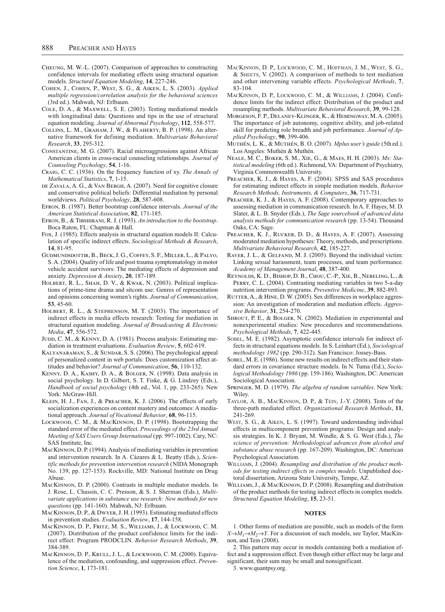- Cheung, M. W.-L. (2007). Comparison of approaches to constructing confidence intervals for mediating effects using structural equation models. *Structural Equation Modeling*, **14**, 227-246.
- Cohen, J., Cohen, P., West, S. G., & Aiken, L. S. (2003). *Applied multiple regression/correlation analysis for the behavioral sciences* (3rd ed.). Mahwah, NJ: Erlbaum.
- Cole, D. A., & Maxwell, S. E. (2003). Testing mediational models with longitudinal data: Questions and tips in the use of structural equation modeling. *Journal of Abnormal Psychology*, **112**, 558-577.
- Collins, L. M., Graham, J. W., & Flaherty, B. P. (1998). An alternative framework for defining mediation. *Multivariate Behavioral Research*, **33**, 295-312.
- Constantine, M. G. (2007). Racial microaggressions against African American clients in cross-racial counseling relationships. *Journal of Counseling Psychology*, **54**, 1-16.
- Craig, C. C. (1936). On the frequency function of xy. *The Annals of Mathematical Statistics*, **7**, 1-15.
- DE ZAVALA, A. G., & VAN BERGH, A. (2007). Need for cognitive closure and conservative political beliefs: Differential mediation by personal worldviews. *Political Psychology*, **28**, 587-608.
- Efron, B. (1987). Better bootstrap confidence intervals. *Journal of the American Statistical Association*, **82**, 171-185.
- Efron, B., & Tibshirani, R. J. (1993). *An introduction to the bootstrap*. Boca Raton, FL: Chapman & Hall.
- Fox, J. (1985). Effects analysis in structural equation models II: Calculation of specific indirect effects. *Sociological Methods & Research*, **14**, 81-95.
- Gudmundsdottir, B., Beck, J. G., Coffey, S. F., Miller, L., & Palyo, S. A. (2004). Quality of life and post trauma symptomatology in motor vehicle accident survivors: The mediating effects of depression and anxiety. *Depression & Anxiety*, **20**, 187-189.
- HOLBERT, R. L., SHAH, D. V., & KWAK, N. (2003). Political implications of prime-time drama and sitcom use: Genres of representation and opinions concerning women's rights. *Journal of Communication*, **53**, 45-60.
- HOLBERT, R. L., & STEPHENSON, M. T. (2003). The importance of indirect effects in media effects research: Testing for mediation in structural equation modeling. *Journal of Broadcasting & Electronic Media*, **47**, 556-572.
- JUDD, C. M., & KENNY, D. A. (1981). Process analysis: Estimating mediation in treatment evaluations. *Evaluation Review*, **5**, 602-619.
- Kalyanaraman, S., & Sundar, S. S. (2006). The psychological appeal of personalized content in web portals: Does customization affect attitudes and behavior? *Journal of Communication*, **56**, 110-132.
- Kenny, D. A., Kashy, D. A., & Bolger, N. (1998). Data analysis in social psychology. In D. Gilbert, S. T. Fiske, & G. Lindzey (Eds.), *Handbook of social psychology* (4th ed., Vol. 1, pp. 233-265). New York: McGraw-Hill.
- Klein, H. J., Fan, J., & Preacher, K. J. (2006). The effects of early socialization experiences on content mastery and outcomes: A mediational approach. *Journal of Vocational Behavior*, **68**, 96-115.
- Lockwood, C. M., & MacKinnon, D. P. (1998). Bootstrapping the standard error of the mediated effect. *Proceedings of the 23rd Annual Meeting of SAS Users Group International* (pp. 997-1002). Cary, NC: SAS Institute, Inc.
- MacKinnon, D. P. (1994). Analysis of mediating variables in prevention and intervention research. In A. Cázares & L. Beatty (Eds.), *Scientific methods for prevention intervention research* (NIDA Monograph No. 139, pp. 127-153). Rockville, MD: National Institute on Drug Abuse.
- MacKinnon, D. P. (2000). Contrasts in multiple mediator models. In J. Rose, L. Chassin, C. C. Presson, & S. J. Sherman (Eds.), *Multivariate applications in substance use research: New methods for new questions* (pp. 141-160). Mahwah, NJ: Erlbaum.
- MacKinnon, D. P., & Dwyer, J. H. (1993). Estimating mediated effects in prevention studies. *Evaluation Review*, **17**, 144-158.
- MacKinnon, D. P., Fritz, M. S., Williams, J., & Lockwood, C. M. (2007). Distribution of the product confidence limits for the indirect effect: Program PRODCLIN. *Behavior Research Methods*, **39**, 384-389.
- MacKinnon, D. P., Krull, J. L., & Lockwood, C. M. (2000). Equivalence of the mediation, confounding, and suppression effect. *Prevention Science*, **1**, 173-181.
- MACKINNON, D. P., LOCKWOOD, C. M., HOFFMAN, J. M., WEST, S. G., & SHEETS, V. (2002). A comparison of methods to test mediation and other intervening variable effects. *Psychological Methods*, **7**, 83-104.
- MACKINNON, D. P., LOCKWOOD, C. M., & WILLIAMS, J. (2004). Confidence limits for the indirect effect: Distribution of the product and resampling methods. *Multivariate Behavioral Research*, **39**, 99-128.
- Morgeson, F. P., Delaney-Klinger, K., & Hemingway, M. A. (2005). The importance of job autonomy, cognitive ability, and job-related skill for predicting role breadth and job performance. *Journal of Applied Psychology*, **90**, 399-406.
- Muthén, L. K., & Muthén, B. O. (2007). *Mplus user's guide* (5th ed.). Los Angeles: Muthén & Muthén.
- Neale, M. C., Boker, S. M., Xie, G., & Maes, H. H. (2003). *Mx: Statistical modeling* (6th ed.). Richmond, VA: Department of Psychiatry, Virginia Commonwealth University.
- Preacher, K. J., & Hayes, A. F. (2004). SPSS and SAS procedures for estimating indirect effects in simple mediation models. *Behavior Research Methods, Instruments, & Computers*, **36**, 717-731.
- PREACHER, K. J., & HAYES, A. F. (2008). Contemporary approaches to assessing mediation in communication research. In A. F. Hayes, M. D. Slater, & L. B. Snyder (Eds.), *The Sage sourcebook of advanced data analysis methods for communication research* (pp. 13-54). Thousand Oaks, CA: Sage.
- PREACHER, K. J., RUCKER, D. D., & HAYES, A. F. (2007). Assessing moderated mediation hypotheses: Theory, methods, and prescriptions. *Multivariate Behavioral Research*, **42**, 185-227.
- RAVER, J. L., & GELFAND, M. J. (2005). Beyond the individual victim: Linking sexual harassment, team processes, and team performance. *Academy of Management Journal*, **48**, 387-400.
- Reynolds, K. D., Bishop, D. B., Chou, C.-P., Xie, B., Nebeling, L., & Perry, C. L. (2004). Contrasting mediating variables in two 5-a-day nutrition intervention programs. *Preventive Medicine*, **39**, 882-893.
- RUTTER, A., & HINE, D. W. (2005). Sex differences in workplace aggression: An investigation of moderation and mediation effects. *Aggressive Behavior*, **31**, 254-270.
- SHROUT, P. E., & BOLGER, N. (2002). Mediation in experimental and nonexperimental studies: New procedures and recommendations. *Psychological Methods*, **7**, 422-445.
- SOBEL, M. E. (1982). Asymptotic confidence intervals for indirect effects in structural equations models. In S. Leinhart (Ed.), *Sociological methodology 1982* (pp. 290-312). San Francisco: Jossey-Bass.
- SOBEL, M. E. (1986). Some new results on indirect effects and their standard errors in covariance structure models. In N. Tuma (Ed.), *Sociological Methodology 1986* (pp. 159-186). Washington, DC: American Sociological Association.
- Springer, M. D. (1979). *The algebra of random variables*. New York: Wiley.
- TAYLOR, A. B., MACKINNON, D. P., & TEIN, J.-Y. (2008). Tests of the three-path mediated effect. *Organizational Research Methods*, **11**, 241-269.
- WEST, S. G., & AIKEN, L. S. (1997). Toward understanding individual effects in multicomponent prevention programs: Design and analysis strategies. In K. J. Bryant, M. Windle, & S. G. West (Eds.), *The science of prevention: Methodological advances from alcohol and substance abuse research* (pp. 167-209). Washington, DC: American Psychological Association.
- WILLIAMS, J. (2004). *Resampling and distribution of the product methods for testing indirect effects in complex models*. Unpublished doctoral dissertation, Arizona State University, Tempe, AZ.
- Williams, J., & MacKinnon, D. P. (2008). Resampling and distribution of the product methods for testing indirect effects in complex models. *Structural Equation Modeling*, **15**, 23-51.

#### **NOTES**

1. Other forms of mediation are possible, such as models of the form  $X \rightarrow M_1 \rightarrow M_2 \rightarrow Y$ . For a discussion of such models, see Taylor, MacKinnon, and Tein (2008).

2. This pattern may occur in models containing both a mediation effect and a suppression effect. Even though either effect may be large and significant, their sum may be small and nonsignificant.

3. www.quantpsy.org.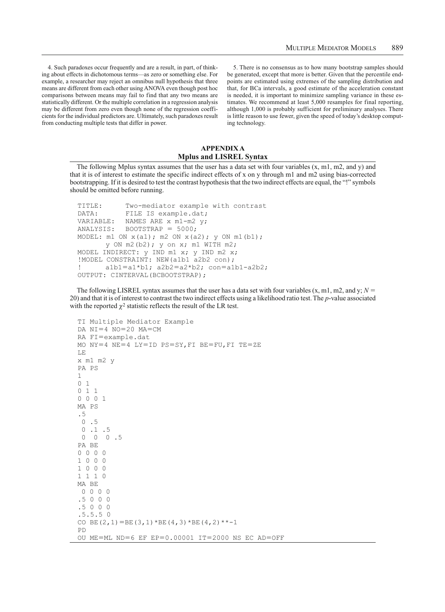4. Such paradoxes occur frequently and are a result, in part, of thinking about effects in dichotomous terms—as zero or something else. For example, a researcher may reject an omnibus null hypothesis that three means are different from each other using ANOVA even though post hoc comparisons between means may fail to find that any two means are statistically different. Or the multiple correlation in a regression analysis may be different from zero even though none of the regression coefficients for the individual predictors are. Ultimately, such paradoxes result from conducting multiple tests that differ in power.

5. There is no consensus as to how many bootstrap samples should be generated, except that more is better. Given that the percentile endpoints are estimated using extremes of the sampling distribution and that, for BCa intervals, a good estimate of the acceleration constant is needed, it is important to minimize sampling variance in these estimates. We recommend at least 5,000 resamples for final reporting, although 1,000 is probably sufficient for preliminary analyses. There is little reason to use fewer, given the speed of today's desktop computing technology.

# **APPENDIX A Mplus and LISREL Syntax**

The following Mplus syntax assumes that the user has a data set with four variables  $(x, m1, m2, and y)$  and that it is of interest to estimate the specific indirect effects of x on y through m1 and m2 using bias-corrected bootstrapping. If it is desired to test the contrast hypothesis that the two indirect effects are equal, the "!" symbols should be omitted before running.

```
TITLE: Two-mediator example with contrast
DATA: FILE IS example.dat;
VARIABLE: NAMES ARE x m1-m2 y;
ANALYSIS: BOOTSTRAP = 5000;MODEL: m1 ON x(a1); m2 ON x(a2); y ON m1(b1);
       y ON m2(b2); y on x; m1 WITH m2;
MODEL INDIRECT: y IND m1 x; y IND m2 x;
!MODEL CONSTRAINT: NEW(a1b1 a2b2 con);
! alb1=a1*b1; a2b2=a2*b2; con=a1b1-a2b2;
OUTPUT: CINTERVAL(BCBOOTSTRAP);
```
The following LISREL syntax assumes that the user has a data set with four variables  $(x, m1, m2, and y; N =$ 20) and that it is of interest to contrast the two indirect effects using a likelihood ratio test. The *p*-value associated with the reported  $\chi^2$  statistic reflects the result of the LR test.

```
TI Multiple Mediator Example
DA NI=4 NO=20 MA=CMRA FIexample.dat
MO NY=4 NE=4 LY=ID PS=SY, FI BE=FU, FI TE=ZE
LE.
x m1 m2 y
PA PS
1
0 1
0 1 1
0 0 0 1
MA PS
.5
  0 .5
  0 .1 .5
  0 0 0 .5
PA BE
0 0 0 0
1 0 0 0
1 0 0 0
1 1 1 0
MA BE
  0 0 0 0
.5 0 0 0
.5 0 0 0
.5.5.5 0
CO BE(2, 1) = BE(3, 1) * BE(4, 3) * BE(4, 2) * * -1
PD
OU ME=ML ND=6 EF EP=0.00001 IT=2000 NS EC AD=OFF
```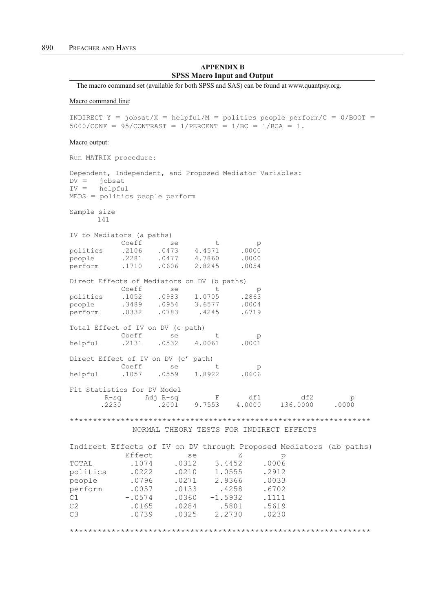# **APPENDIX B SPSS Macro Input and Output**

The macro command set (available for both SPSS and SAS) can be found at www.quantpsy.org.

### Macro command line:

INDIRECT Y = jobsat/X = helpful/M = politics people perform/C =  $0/BOOT$  =  $5000/CONF = 95/CONTRAST = 1/PERCENT = 1/BC = 1/BCA = 1.$ Macro output: Run MATRIX procedure: Dependent, Independent, and Proposed Mediator Variables:  $DV =$  jobsat  $IV =$  helpful  $MEDS =$  politics people perform Sample size 141 IV to Mediators (a paths) Coeff se t p politics .2106 .0473 4.4571 .0000 people .2281 .0477 4.7860 .0000 perform .1710 .0606 2.8245 .0054 Direct Effects of Mediators on DV (b paths) Coeff se t p politics .1052 .0983 1.0705 .2863 people .3489 .0954 3.6577 .0004 perform .0332 .0783 .4245 .6719 Total Effect of IV on DV (c path) Coeff se t p<br>helpful .2131 .0532 4.0061 .0001  $.2131$   $.0532$   $4.0061$ Direct Effect of IV on DV (c' path) Coeff se t p<br>.1057 .0559 1.8922 .0606 helpful .1057 .0559 Fit Statistics for DV Model R-sq Adj R-sq<br>2230 Adj R-sq F df1 df2 p<br>2230 .2001 9.7553 4.0000 136.0000 .0000  $.2230$   $.2001$   $.9.7553$   $.4.0000$   $.136.0000$ \*\*\*\*\*\*\*\*\*\*\*\*\*\*\*\*\*\*\*\*\*\*\*\*\*\*\*\*\*\*\*\*\*\*\*\*\*\*\*\*\*\*\*\*\*\*\*\*\*\*\*\*\*\*\*\*\*\*\*\*\*\*\*\*\* NORMAL THEORY TESTS FOR INDIRECT EFFECTS Indirect Effects of IV on DV through Proposed Mediators (ab paths)

|                | Effect   | se    | Ζ         | p     |  |
|----------------|----------|-------|-----------|-------|--|
| TOTAL          | .1074    | .0312 | 3.4452    | .0006 |  |
| politics       | .0222    | .0210 | 1.0555    | .2912 |  |
| people         | .0796    | .0271 | 2.9366    | .0033 |  |
| perform        | .0057    | .0133 | .4258     | .6702 |  |
| C1             | $-.0574$ | .0360 | $-1.5932$ | .1111 |  |
| C <sub>2</sub> | .0165    | .0284 | .5801     | .5619 |  |
| C <sub>3</sub> | .0739    | .0325 | 2.2730    | .0230 |  |
|                |          |       |           |       |  |
|                |          |       |           |       |  |